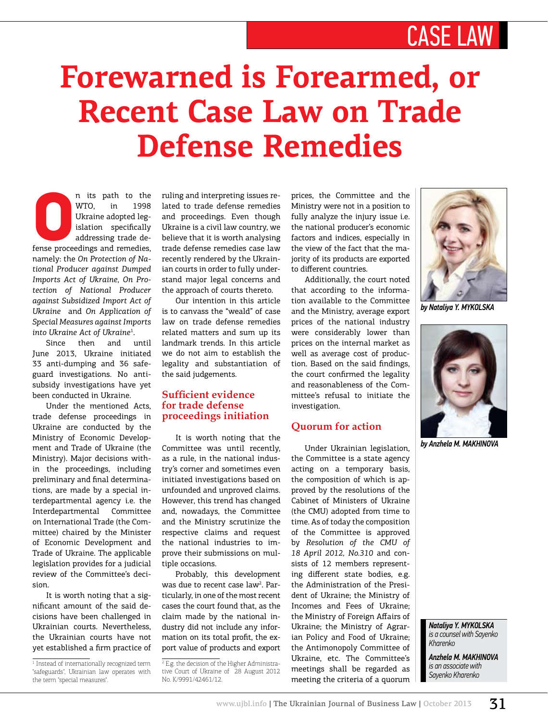# case law

# **Forewarned is Forearmed, or Recent Case Law on Trade Defense Remedies**

n its path to the WTO, in 1998<br>Ukraine adopted leg-<br>islation specifically<br>addressing trade de-<br>fense proceedings and remedies, WTO, in 1998 Ukraine adopted legislation specifically addressing trade de-

namely: the *On Protection of National Producer against Dumped Imports Act of Ukraine*, *On Protection of National Producer against Subsidized Import Act of Ukraine* and *On Application of Special Measures against Imports into Ukraine Act of Ukraine*<sup>1</sup> .

Since then and until June 2013, Ukraine initiated 33 anti-dumping and 36 safeguard investigations. No antisubsidy investigations have yet been conducted in Ukraine.

Under the mentioned Acts, trade defense proceedings in Ukraine are conducted by the Ministry of Economic Development and Trade of Ukraine (the Ministry). Major decisions within the proceedings, including preliminary and final determinations, are made by a special interdepartmental agency i.e. the Interdepartmental Committee on International Trade (the Committee) chaired by the Minister of Economic Development and Trade of Ukraine. The applicable legislation provides for a judicial review of the Committee's decision.

It is worth noting that a significant amount of the said decisions have been challenged in Ukrainian courts. Nevertheless, the Ukrainian courts have not yet established a firm practice of ruling and interpreting issues related to trade defense remedies and proceedings. Even though Ukraine is a civil law country, we believe that it is worth analysing trade defense remedies case law recently rendered by the Ukrainian courts in order to fully understand major legal concerns and the approach of courts thereto.

Our intention in this article is to canvass the "weald" of case law on trade defense remedies related matters and sum up its landmark trends. In this article we do not aim to establish the legality and substantiation of the said judgements.

#### **Sufficient evidence for trade defense proceedings initiation**

It is worth noting that the Committee was until recently, as a rule, in the national industry's corner and sometimes even initiated investigations based on unfounded and unproved claims. However, this trend has changed and, nowadays, the Committee and the Ministry scrutinize the respective claims and request the national industries to improve their submissions on multiple occasions.

Probably, this development was due to recent case law<sup>2</sup>. Particularly, in one of the most recent cases the court found that, as the claim made by the national industry did not include any information on its total profit, the export value of products and export

2 E.g. the decision of the Higher Administrative Court of Ukraine of 28 August 2012 No. К/9991/42461/12.

prices, the Committee and the Ministry were not in a position to fully analyze the injury issue i.e. the national producer's economic factors and indices, especially in the view of the fact that the majority of its products are exported to different countries.

Additionally, the court noted that according to the information available to the Committee and the Ministry, average export prices of the national industry were considerably lower than prices on the internal market as well as average cost of production. Based on the said findings, the court confirmed the legality and reasonableness of the Committee's refusal to initiate the investigation.

## **Quorum for action**

Under Ukrainian legislation, the Committee is a state agency acting on a temporary basis, the composition of which is approved by the resolutions of the Cabinet of Ministers of Ukraine (the CMU) adopted from time to time. As of today the composition of the Committee is approved by *Resolution of the CMU of 18 April 2012, No.310* and consists of 12 members representing different state bodies, e.g. the Administration of the President of Ukraine; the Ministry of Incomes and Fees of Ukraine; the Ministry of Foreign Affairs of Ukraine; the Ministry of Agrarian Policy and Food of Ukraine; the Antimonopoly Committee of Ukraine, etc. The Committee's meetings shall be regarded as meeting the criteria of a quorum



*by Nataliya Y. Mykolska*



*by Anzhela M. Makhinova*

*Nataliya Y. Mykolska is a counsel with Sayenko Kharenko*

*Anzhela M. Makhinova is an associate with Sayenko Kharenko*

<sup>1</sup> Instead of internationally recognized term "safeguards", Ukrainian law operates with the term "special measures".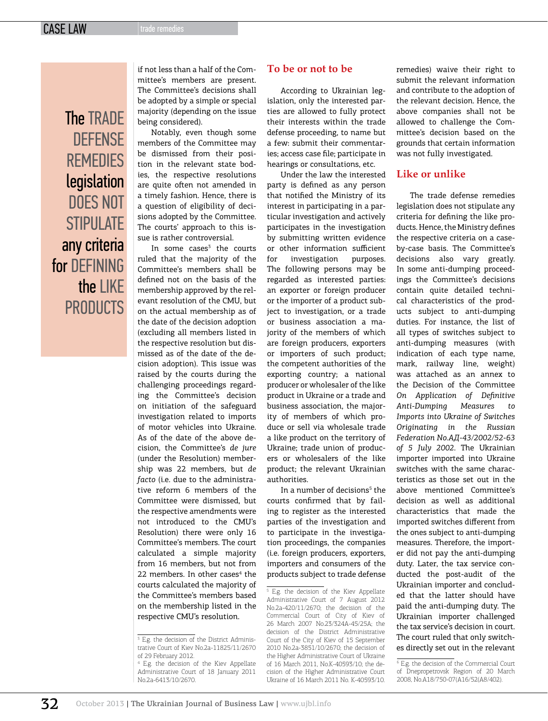**The TRADE DEFENSE REMEDIES** legislation does not STIPUI ATF any criteria for DFFINING the IIKF **PRODUCTS** 

if not less than a half of the Committee's members are present. The Committee's decisions shall be adopted by a simple or special majority (depending on the issue being considered).

Notably, even though some members of the Committee may be dismissed from their position in the relevant state bodies, the respective resolutions are quite often not amended in a timely fashion. Hence, there is a question of eligibility of decisions adopted by the Committee. The courts' approach to this issue is rather controversial.

In some cases<sup>3</sup> the courts ruled that the majority of the Committee's members shall be defined not on the basis of the membership approved by the relevant resolution of the CMU, but on the actual membership as of the date of the decision adoption (excluding all members listed in the respective resolution but dismissed as of the date of the decision adoption). This issue was raised by the courts during the challenging proceedings regarding the Committee's decision on initiation of the safeguard investigation related to imports of motor vehicles into Ukraine. As of the date of the above decision, the Committee's *de jure* (under the Resolution) membership was 22 members, but *de facto* (i.e. due to the administrative reform 6 members of the Committee were dismissed, but the respective amendments were not introduced to the CMU's Resolution) there were only 16 Committee's members. The court calculated a simple majority from 16 members, but not from 22 members. In other cases<sup>4</sup> the courts calculated the majority of the Committee's members based on the membership listed in the respective CMU's resolution.

#### **To be or not to be**

According to Ukrainian legislation, only the interested parties are allowed to fully protect their interests within the trade defense proceeding, to name but a few: submit their commentaries; access case file; participate in hearings or consultations, etc.

Under the law the interested party is defined as any person that notified the Ministry of its interest in participating in a particular investigation and actively participates in the investigation by submitting written evidence or other information sufficient for investigation purposes. The following persons may be regarded as interested parties: an exporter or foreign producer or the importer of a product subject to investigation, or a trade or business association a majority of the members of which are foreign producers, exporters or importers of such product; the competent authorities of the exporting country; a national producer or wholesaler of the like product in Ukraine or a trade and business association, the majority of members of which produce or sell via wholesale trade a like product on the territory of Ukraine; trade union of producers or wholesalers of the like product; the relevant Ukrainian authorities.

In a number of decisions<sup>5</sup> the courts confirmed that by failing to register as the interested parties of the investigation and to participate in the investigation proceedings, the companies (i.e. foreign producers, exporters, importers and consumers of the products subject to trade defense

5 E.g. the decision of the Kiev Appellate Administrative Court of 7 August 2012 No.2а-420/11/2670; the decision of the Commercial Court of City of Kiev of 26 March 2007 No.23/324А-45/25А; the decision of the District Administrative Court of the City of Kiev of 15 September 2010 No.2а-3851/10/2670; the decision of the Higher Administrative Court of Ukraine of 16 March 2011, No.К-40593/10; the decision of the Higher Administrative Court Ukraine of 16 March 2011 No. К-40593/10.

remedies) waive their right to submit the relevant information and contribute to the adoption of the relevant decision. Hence, the above companies shall not be allowed to challenge the Committee's decision based on the grounds that certain information was not fully investigated.

#### **Like or unlike**

The trade defense remedies legislation does not stipulate any criteria for defining the like products. Hence, the Ministry defines the respective criteria on a caseby-case basis. The Committee's decisions also vary greatly. In some anti-dumping proceedings the Committee's decisions contain quite detailed technical characteristics of the products subject to anti-dumping duties. For instance, the list of all types of switches subject to anti-dumping measures (with indication of each type name, mark, railway line, weight) was attached as an annex to the Decision of the Committee *On Application of Definitive Anti-Dumping Measures to Imports into Ukraine of Switches Originating in the Russian Federation No.АД-43/2002/52-63 of 5 July 2002*. The Ukrainian importer imported into Ukraine switches with the same characteristics as those set out in the above mentioned Committee's decision as well as additional characteristics that made the imported switches different from the ones subject to anti-dumping measures. Therefore, the importer did not pay the anti-dumping duty. Later, the tax service conducted the post-audit of the Ukrainian importer and concluded that the latter should have paid the anti-dumping duty. The Ukrainian importer challenged the tax service's decision in court. The court ruled that only switches directly set out in the relevant

<sup>3</sup> E.g. the decision of the District Administrative Court of Kiev No.2а-11825/11/2670 of 29 February 2012.

<sup>4</sup> E.g. the decision of the Kiev Appellate Administrative Court of 18 January 2011 No.2а-6413/10/2670.

<sup>6</sup> E.g. the decision of the Commercial Court of Dnepropetrovsk Region of 20 March 2008, No.A18/750-07(А16/52(А8/402).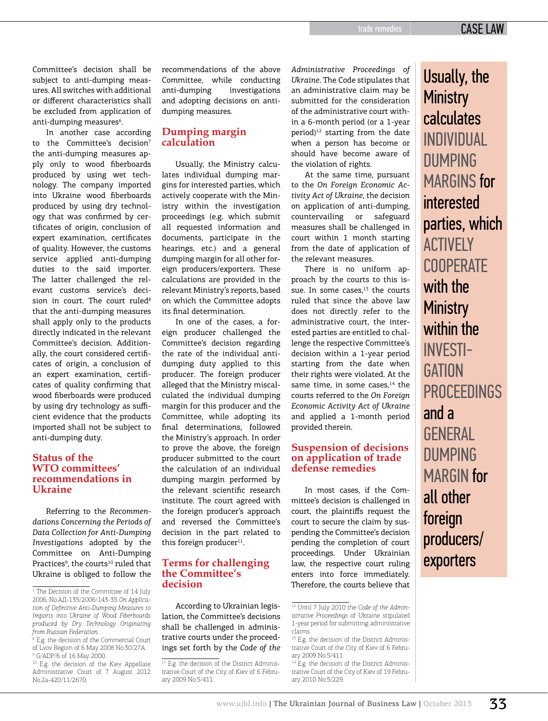Committee's decision shall be subject to anti-dumping measures. All switches with additional or different characteristics shall be excluded from application of anti-dumping measures<sup>6</sup>.

In another case according to the Committee's decision<sup>7</sup> the anti-dumping measures apply only to wood fiberboards produced by using wet technology. The company imported into Ukraine wood fiberboards produced by using dry technology that was confirmed by certificates of origin, conclusion of expert examination, certificates of quality. However, the customs service applied anti-dumping duties to the said importer. The latter challenged the relevant customs service's decision in court. The court ruled<sup>8</sup> that the anti-dumping measures shall apply only to the products directly indicated in the relevant Committee's decision. Additionally, the court considered certificates of origin, a conclusion of an expert examination, certificates of quality confirming that wood fiberboards were produced by using dry technology as sufficient evidence that the products imported shall not be subject to anti-dumping duty.

#### **Status of the WTO committees' recommendations in Ukraine**

Referring to the *Recommendations Concerning the Periods of Data Collection for Anti-Dumping Investigations* adopted by the Committee on Anti-Dumping Practices<sup>9</sup>, the courts<sup>10</sup> ruled that Ukraine is obliged to follow the

recommendations of the above Committee, while conducting anti-dumping investigations and adopting decisions on antidumping measures.

#### **Dumping margin calculation**

Usually, the Ministry calculates individual dumping margins for interested parties, which actively cooperate with the Ministry within the investigation proceedings (e.g. which submit all requested information and documents, participate in the hearings, etc.) and a general dumping margin for all other foreign producers/exporters. These calculations are provided in the relevant Ministry's reports, based on which the Committee adopts its final determination.

In one of the cases, a foreign producer challenged the Committee's decision regarding the rate of the individual antidumping duty applied to this producer. The foreign producer alleged that the Ministry miscalculated the individual dumping margin for this producer and the Committee, while adopting its final determinations, followed the Ministry's approach. In order to prove the above, the foreign producer submitted to the court the calculation of an individual dumping margin performed by the relevant scientific research institute. The court agreed with the foreign producer's approach and reversed the Committee's decision in the part related to this foreign producer $11$ .

#### **Terms for challenging the Committee's decision**

According to Ukrainian legislation, the Committee's decisions shall be challenged in administrative courts under the proceedings set forth by the *Code of the*  *Administrative Proceedings of Ukraine*. The Code stipulates that an administrative claim may be submitted for the consideration of the administrative court within a 6-month period (or a 1-year period)<sup>12</sup> starting from the date when a person has become or should have become aware of the violation of rights.

At the same time, pursuant to the *On Foreign Economic Activity Act of Ukraine*, the decision on application of anti-dumping, countervailing or safeguard measures shall be challenged in court within 1 month starting from the date of application of the relevant measures.

There is no uniform approach by the courts to this issue. In some cases. $13$  the courts ruled that since the above law does not directly refer to the administrative court, the interested parties are entitled to challenge the respective Committee's decision within a 1-year period starting from the date when their rights were violated. At the same time, in some cases. $14$  the courts referred to the *On Foreign Economic Activity Act of Ukraine*  and applied a 1-month period provided therein.

#### **Suspension of decisions on application of trade defense remedies**

In most cases, if the Committee's decision is challenged in court, the plaintiffs request the court to secure the claim by suspending the Committee's decision pending the completion of court proceedings. Under Ukrainian law, the respective court ruling enters into force immediately. Therefore, the courts believe that

Usually, the **Ministry** calculates individual dumping MARGINS for interested parties, which **ACTIVELY COOPFRATE** with the **Ministry** within the investi-GATION **PROCFFDINGS** and a **GENERAL DUMPING** MARGIN for all other foreign producers/ exporters

<sup>7</sup> The Decision of the Committee of 14 July 2006, No.АД-135/2006/143-35 *On Application of Definitive Anti-Dumping Measures to Imports into Ukraine of Wood Fiberboards produced by Dry Technology Originating from Russian Federation.*

<sup>8</sup> E.g. the decision of the Commercial Court of Lvov Region of 6 May 2008 No.30/27А. 9 G/ADP/6 of 16 May 2000.

<sup>&</sup>lt;sup>10</sup> E.g. the decision of the Kiev Appellate Administrative Court of 7 August 2012 No.2а-420/11/2670.

 $\overline{11}$  E.g. the decision of the District Administrative Court of the City of Kiev of 6 February 2009 No.5/411.

<sup>12</sup> Until 7 July 2010 the *Code of the Administrative Proceedings* of Ukraine stipulated 1-year period for submitting administrative claims.

<sup>&</sup>lt;sup>13</sup> E.g. the decision of the District Administrative Court of the City of Kiev of 6 February 2009 No.5/411.

<sup>&</sup>lt;sup>14</sup> E.g. the decision of the District Administrative Court of the City of Kiev of 19 February 2010 No.5/229.